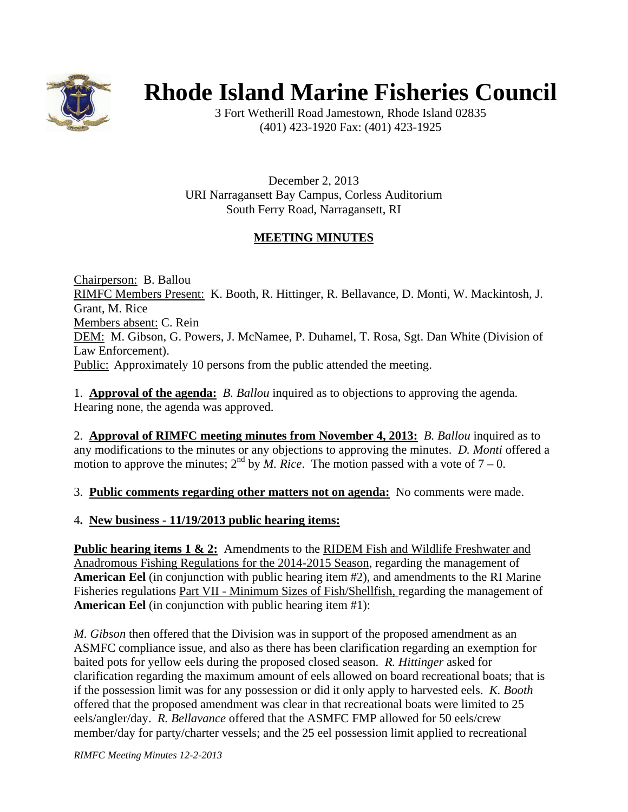

# **Rhode Island Marine Fisheries Council**

3 Fort Wetherill Road Jamestown, Rhode Island 02835 (401) 423-1920 Fax: (401) 423-1925

December 2, 2013 URI Narragansett Bay Campus, Corless Auditorium South Ferry Road, Narragansett, RI

# **MEETING MINUTES**

Chairperson: B. Ballou RIMFC Members Present: K. Booth, R. Hittinger, R. Bellavance, D. Monti, W. Mackintosh, J. Grant, M. Rice Members absent: C. Rein DEM: M. Gibson, G. Powers, J. McNamee, P. Duhamel, T. Rosa, Sgt. Dan White (Division of Law Enforcement). Public: Approximately 10 persons from the public attended the meeting.

1. **Approval of the agenda:** *B. Ballou* inquired as to objections to approving the agenda. Hearing none, the agenda was approved.

2. **Approval of RIMFC meeting minutes from November 4, 2013:** *B. Ballou* inquired as to any modifications to the minutes or any objections to approving the minutes. *D. Monti* offered a motion to approve the minutes;  $2^{nd}$  by *M. Rice*. The motion passed with a vote of  $7 - 0$ .

3. **Public comments regarding other matters not on agenda:** No comments were made.

### 4**. New business - 11/19/2013 public hearing items:**

**Public hearing items 1 & 2:** Amendments to the RIDEM Fish and Wildlife Freshwater and Anadromous Fishing Regulations for the 2014-2015 Season, regarding the management of **American Eel** (in conjunction with public hearing item #2), and amendments to the RI Marine Fisheries regulations Part VII - Minimum Sizes of Fish/Shellfish, regarding the management of **American Eel** (in conjunction with public hearing item #1):

*M. Gibson* then offered that the Division was in support of the proposed amendment as an ASMFC compliance issue, and also as there has been clarification regarding an exemption for baited pots for yellow eels during the proposed closed season. *R. Hittinger* asked for clarification regarding the maximum amount of eels allowed on board recreational boats; that is if the possession limit was for any possession or did it only apply to harvested eels. *K. Booth* offered that the proposed amendment was clear in that recreational boats were limited to 25 eels/angler/day. *R. Bellavance* offered that the ASMFC FMP allowed for 50 eels/crew member/day for party/charter vessels; and the 25 eel possession limit applied to recreational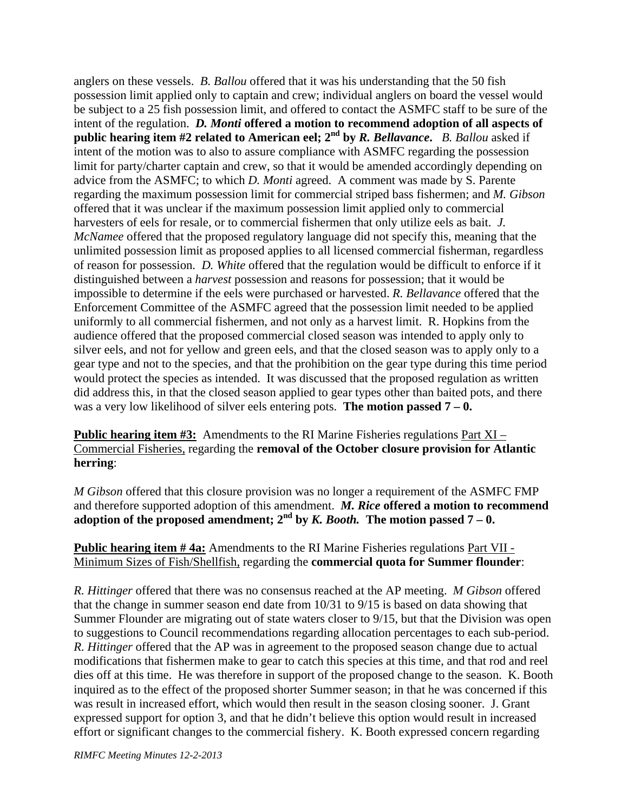anglers on these vessels. *B. Ballou* offered that it was his understanding that the 50 fish possession limit applied only to captain and crew; individual anglers on board the vessel would be subject to a 25 fish possession limit, and offered to contact the ASMFC staff to be sure of the intent of the regulation. *D. Monti* **offered a motion to recommend adoption of all aspects of public hearing item #2 related to American eel; 2nd by** *R. Bellavance***.** *B. Ballou* asked if intent of the motion was to also to assure compliance with ASMFC regarding the possession limit for party/charter captain and crew, so that it would be amended accordingly depending on advice from the ASMFC; to which *D. Monti* agreed. A comment was made by S. Parente regarding the maximum possession limit for commercial striped bass fishermen; and *M. Gibson* offered that it was unclear if the maximum possession limit applied only to commercial harvesters of eels for resale, or to commercial fishermen that only utilize eels as bait. *J. McNamee* offered that the proposed regulatory language did not specify this, meaning that the unlimited possession limit as proposed applies to all licensed commercial fisherman, regardless of reason for possession. *D. White* offered that the regulation would be difficult to enforce if it distinguished between a *harvest* possession and reasons for possession; that it would be impossible to determine if the eels were purchased or harvested. *R. Bellavance* offered that the Enforcement Committee of the ASMFC agreed that the possession limit needed to be applied uniformly to all commercial fishermen, and not only as a harvest limit. R. Hopkins from the audience offered that the proposed commercial closed season was intended to apply only to silver eels, and not for yellow and green eels, and that the closed season was to apply only to a gear type and not to the species, and that the prohibition on the gear type during this time period would protect the species as intended. It was discussed that the proposed regulation as written did address this, in that the closed season applied to gear types other than baited pots, and there was a very low likelihood of silver eels entering pots. **The motion passed 7 – 0.** 

**Public hearing item #3:** Amendments to the RI Marine Fisheries regulations Part XI – Commercial Fisheries, regarding the **removal of the October closure provision for Atlantic herring**:

*M Gibson* offered that this closure provision was no longer a requirement of the ASMFC FMP and therefore supported adoption of this amendment. *M. Rice* **offered a motion to recommend**  adoption of the proposed amendment;  $2^{nd}$  by *K. Booth.* The motion passed  $7 - 0$ .

**Public hearing item # 4a:** Amendments to the RI Marine Fisheries regulations Part VII - Minimum Sizes of Fish/Shellfish, regarding the **commercial quota for Summer flounder**:

*R. Hittinger* offered that there was no consensus reached at the AP meeting. *M Gibson* offered that the change in summer season end date from 10/31 to 9/15 is based on data showing that Summer Flounder are migrating out of state waters closer to 9/15, but that the Division was open to suggestions to Council recommendations regarding allocation percentages to each sub-period. *R. Hittinger* offered that the AP was in agreement to the proposed season change due to actual modifications that fishermen make to gear to catch this species at this time, and that rod and reel dies off at this time. He was therefore in support of the proposed change to the season. K. Booth inquired as to the effect of the proposed shorter Summer season; in that he was concerned if this was result in increased effort, which would then result in the season closing sooner. J. Grant expressed support for option 3, and that he didn't believe this option would result in increased effort or significant changes to the commercial fishery. K. Booth expressed concern regarding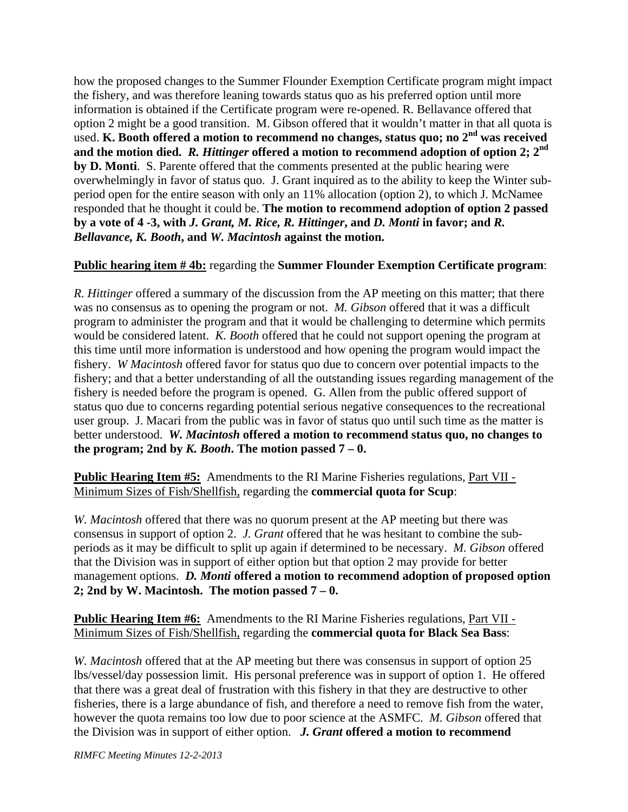how the proposed changes to the Summer Flounder Exemption Certificate program might impact the fishery, and was therefore leaning towards status quo as his preferred option until more information is obtained if the Certificate program were re-opened. R. Bellavance offered that option 2 might be a good transition. M. Gibson offered that it wouldn't matter in that all quota is used. **K. Booth offered a motion to recommend no changes, status quo; no 2nd was received**  and the motion died. *R. Hittinger* offered a motion to recommend adoption of option 2;  $2^{\text{nd}}$ **by D. Monti**. S. Parente offered that the comments presented at the public hearing were overwhelmingly in favor of status quo. J. Grant inquired as to the ability to keep the Winter subperiod open for the entire season with only an 11% allocation (option 2), to which J. McNamee responded that he thought it could be. **The motion to recommend adoption of option 2 passed by a vote of 4 -3, with** *J. Grant, M. Rice, R. Hittinger***, and** *D. Monti* **in favor; and** *R. Bellavance, K. Booth***, and** *W. Macintosh* **against the motion.** 

#### **Public hearing item # 4b:** regarding the **Summer Flounder Exemption Certificate program**:

*R. Hittinger* offered a summary of the discussion from the AP meeting on this matter; that there was no consensus as to opening the program or not. *M. Gibson* offered that it was a difficult program to administer the program and that it would be challenging to determine which permits would be considered latent. *K. Booth* offered that he could not support opening the program at this time until more information is understood and how opening the program would impact the fishery. *W Macintosh* offered favor for status quo due to concern over potential impacts to the fishery; and that a better understanding of all the outstanding issues regarding management of the fishery is needed before the program is opened. G. Allen from the public offered support of status quo due to concerns regarding potential serious negative consequences to the recreational user group. J. Macari from the public was in favor of status quo until such time as the matter is better understood. *W. Macintosh* **offered a motion to recommend status quo, no changes to**  the program; 2nd by  $K$ . Booth. The motion passed  $7 - 0$ .

**Public Hearing Item #5:** Amendments to the RI Marine Fisheries regulations, Part VII - Minimum Sizes of Fish/Shellfish, regarding the **commercial quota for Scup**:

*W. Macintosh* offered that there was no quorum present at the AP meeting but there was consensus in support of option 2. *J. Grant* offered that he was hesitant to combine the subperiods as it may be difficult to split up again if determined to be necessary. *M. Gibson* offered that the Division was in support of either option but that option 2 may provide for better management options. *D. Monti* **offered a motion to recommend adoption of proposed option 2; 2nd by W. Macintosh. The motion passed 7 – 0.** 

**Public Hearing Item #6:** Amendments to the RI Marine Fisheries regulations, Part VII - Minimum Sizes of Fish/Shellfish, regarding the **commercial quota for Black Sea Bass**:

*W. Macintosh* offered that at the AP meeting but there was consensus in support of option 25 lbs/vessel/day possession limit. His personal preference was in support of option 1. He offered that there was a great deal of frustration with this fishery in that they are destructive to other fisheries, there is a large abundance of fish, and therefore a need to remove fish from the water, however the quota remains too low due to poor science at the ASMFC. *M. Gibson* offered that the Division was in support of either option. *J. Grant* **offered a motion to recommend**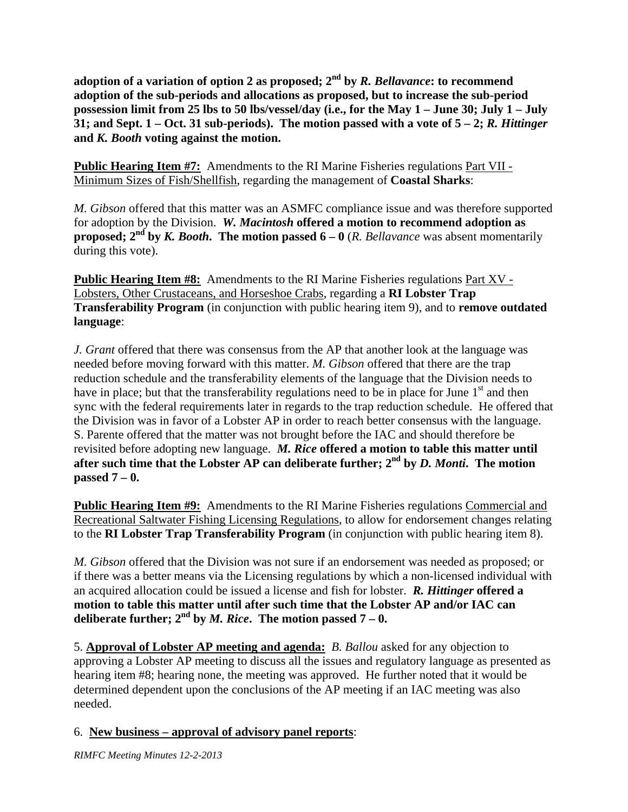**adoption of a variation of option 2 as proposed; 2nd by** *R. Bellavance***: to recommend adoption of the sub-periods and allocations as proposed, but to increase the sub-period possession limit from 25 lbs to 50 lbs/vessel/day (i.e., for the May 1 – June 30; July 1 – July 31; and Sept. 1 – Oct. 31 sub-periods). The motion passed with a vote of 5 – 2;** *R. Hittinger* **and** *K. Booth* **voting against the motion.**

**Public Hearing Item #7:** Amendments to the RI Marine Fisheries regulations Part VII - Minimum Sizes of Fish/Shellfish, regarding the management of **Coastal Sharks**:

*M. Gibson* offered that this matter was an ASMFC compliance issue and was therefore supported for adoption by the Division. *W. Macintosh* **offered a motion to recommend adoption as proposed;**  $2^{nd}$  by *K. Booth*. The motion passed 6 – 0 (*R. Bellavance* was absent momentarily during this vote).

**Public Hearing Item #8:** Amendments to the RI Marine Fisheries regulations Part XV - Lobsters, Other Crustaceans, and Horseshoe Crabs, regarding a **RI Lobster Trap Transferability Program** (in conjunction with public hearing item 9), and to **remove outdated language**:

*J. Grant* offered that there was consensus from the AP that another look at the language was needed before moving forward with this matter. *M. Gibson* offered that there are the trap reduction schedule and the transferability elements of the language that the Division needs to have in place; but that the transferability regulations need to be in place for June  $1<sup>st</sup>$  and then sync with the federal requirements later in regards to the trap reduction schedule. He offered that the Division was in favor of a Lobster AP in order to reach better consensus with the language. S. Parente offered that the matter was not brought before the IAC and should therefore be revisited before adopting new language. *M. Rice* **offered a motion to table this matter until after such time that the Lobster AP can deliberate further; 2nd by** *D. Monti***. The motion passed 7 – 0.** 

**Public Hearing Item #9:** Amendments to the RI Marine Fisheries regulations Commercial and Recreational Saltwater Fishing Licensing Regulations, to allow for endorsement changes relating to the **RI Lobster Trap Transferability Program** (in conjunction with public hearing item 8).

*M. Gibson* offered that the Division was not sure if an endorsement was needed as proposed; or if there was a better means via the Licensing regulations by which a non-licensed individual with an acquired allocation could be issued a license and fish for lobster. *R. Hittinger* **offered a motion to table this matter until after such time that the Lobster AP and/or IAC can**  deliberate further;  $2^{nd}$  by *M. Rice*. The motion passed  $7 - 0$ .

5. **Approval of Lobster AP meeting and agenda:** *B. Ballou* asked for any objection to approving a Lobster AP meeting to discuss all the issues and regulatory language as presented as hearing item #8; hearing none, the meeting was approved. He further noted that it would be determined dependent upon the conclusions of the AP meeting if an IAC meeting was also needed.

### 6. **New business – approval of advisory panel reports**: